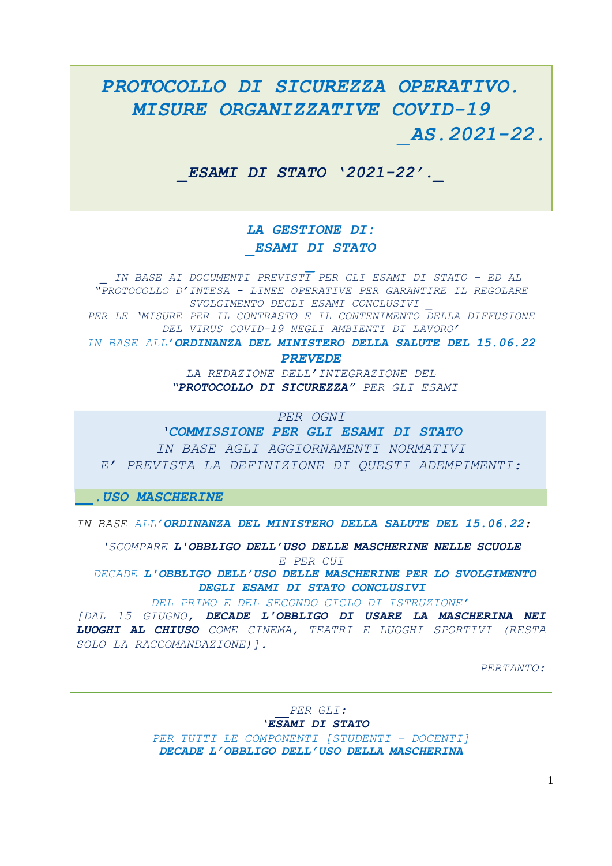## *PROTOCOLLO DI SICUREZZA OPERATIVO. MISURE ORGANIZZATIVE COVID-19 \_AS.2021-22. \_ESAMI DI STATO '2021-22'.\_ LA GESTIONE DI: \_ESAMI DI STATO \_ IN BASE AI DOCUMENTI PREVISTI PER GLI ESAMI DI STATO – ED AL "PROTOCOLLO D'INTESA - LINEE OPERATIVE PER GARANTIRE IL REGOLARE SVOLGIMENTO DEGLI ESAMI CONCLUSIVI \_ PER LE 'MISURE PER IL CONTRASTO E IL CONTENIMENTO DELLA DIFFUSIONE DEL VIRUS COVID-19 NEGLI AMBIENTI DI LAVORO' IN BASE ALL'ORDINANZA DEL MINISTERO DELLA SALUTE DEL 15.06.22 PREVEDE LA REDAZIONE DELL'INTEGRAZIONE DEL "PROTOCOLLO DI SICUREZZA" PER GLI ESAMI PER OGNI 'COMMISSIONE PER GLI ESAMI DI STATO IN BASE AGLI AGGIORNAMENTI NORMATIVI E' PREVISTA LA DEFINIZIONE DI QUESTI ADEMPIMENTI: .USO MASCHERINE IN BASE ALL'ORDINANZA DEL MINISTERO DELLA SALUTE DEL 15.06.22: 'SCOMPARE L'OBBLIGO DELL'USO DELLE MASCHERINE NELLE SCUOLE E PER CUI DECADE L'OBBLIGO DELL'USO DELLE MASCHERINE PER LO SVOLGIMENTO DEGLI ESAMI DI STATO CONCLUSIVI DEL PRIMO E DEL SECONDO CICLO DI ISTRUZIONE' [DAL 15 GIUGNO, DECADE L'OBBLIGO DI USARE LA MASCHERINA NEI LUOGHI AL CHIUSO COME CINEMA, TEATRI E LUOGHI SPORTIVI (RESTA SOLO LA RACCOMANDAZIONE)]. PERTANTO: PER GLI: 'ESAMI DI STATO PER TUTTI LE COMPONENTI [STUDENTI – DOCENTI]*

*DECADE L'OBBLIGO DELL'USO DELLA MASCHERINA*